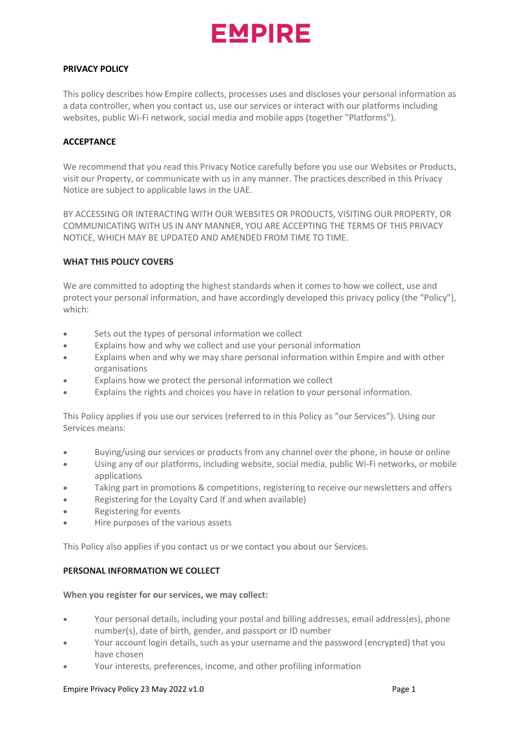

### PRIVACY POLICY

This policy describes how Empire collects, processes uses and discloses your personal information as a data controller, when you contact us, use our services or interact with our platforms including websites, public Wi-Fi network, social media and mobile apps (together "Platforms").

# **ACCEPTANCE**

We recommend that you read this Privacy Notice carefully before you use our Websites or Products, visit our Property, or communicate with us in any manner. The practices described in this Privacy Notice are subject to applicable laws in the UAE.

BY ACCESSING OR INTERACTING WITH OUR WEBSITES OR PRODUCTS, VISITING OUR PROPERTY, OR COMMUNICATING WITH US IN ANY MANNER, YOU ARE ACCEPTING THE TERMS OF THIS PRIVACY NOTICE, WHICH MAY BE UPDATED AND AMENDED FROM TIME TO TIME.

# WHAT THIS POLICY COVERS

We are committed to adopting the highest standards when it comes to how we collect, use and protect your personal information, and have accordingly developed this privacy policy (the "Policy"), which:

- Sets out the types of personal information we collect
- Explains how and why we collect and use your personal information
- Explains when and why we may share personal information within Empire and with other organisations
- Explains how we protect the personal information we collect
- Explains the rights and choices you have in relation to your personal information.

This Policy applies if you use our services (referred to in this Policy as "our Services"). Using our Services means:

- Buying/using our services or products from any channel over the phone, in house or online
- Using any of our platforms, including website, social media, public Wi-Fi networks, or mobile applications
- Taking part in promotions & competitions, registering to receive our newsletters and offers
- Registering for the Loyalty Card If and when available)
- Registering for events
- Hire purposes of the various assets

This Policy also applies if you contact us or we contact you about our Services.

# PERSONAL INFORMATION WE COLLECT

# When you register for our services, we may collect:

- Your personal details, including your postal and billing addresses, email address(es), phone number(s), date of birth, gender, and passport or ID number
- Your account login details, such as your username and the password (encrypted) that you have chosen
- Your interests, preferences, income, and other profiling information

#### Empire Privacy Policy 23 May 2022 v1.0 **Page 1** Page 1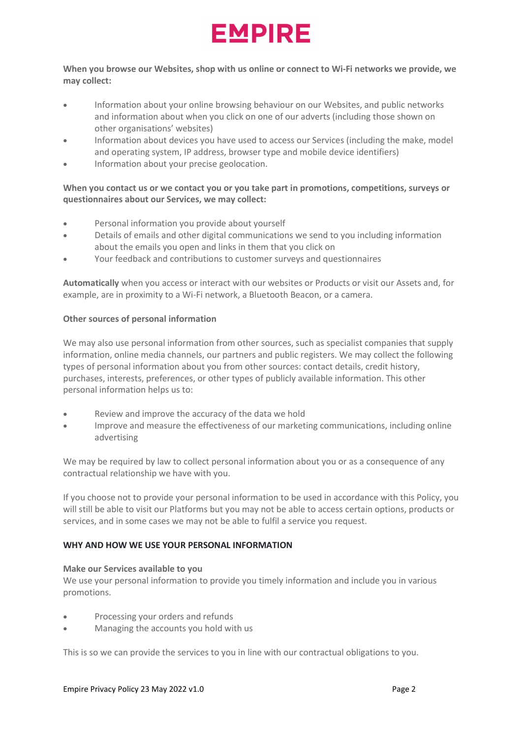

When you browse our Websites, shop with us online or connect to Wi-Fi networks we provide, we may collect:

- Information about your online browsing behaviour on our Websites, and public networks and information about when you click on one of our adverts (including those shown on other organisations' websites)
- Information about devices you have used to access our Services (including the make, model and operating system, IP address, browser type and mobile device identifiers)
- Information about your precise geolocation.

# When you contact us or we contact you or you take part in promotions, competitions, surveys or questionnaires about our Services, we may collect:

- Personal information you provide about yourself
- Details of emails and other digital communications we send to you including information about the emails you open and links in them that you click on
- Your feedback and contributions to customer surveys and questionnaires

Automatically when you access or interact with our websites or Products or visit our Assets and, for example, are in proximity to a Wi-Fi network, a Bluetooth Beacon, or a camera.

# Other sources of personal information

We may also use personal information from other sources, such as specialist companies that supply information, online media channels, our partners and public registers. We may collect the following types of personal information about you from other sources: contact details, credit history, purchases, interests, preferences, or other types of publicly available information. This other personal information helps us to:

- Review and improve the accuracy of the data we hold
- Improve and measure the effectiveness of our marketing communications, including online advertising

We may be required by law to collect personal information about you or as a consequence of any contractual relationship we have with you.

If you choose not to provide your personal information to be used in accordance with this Policy, you will still be able to visit our Platforms but you may not be able to access certain options, products or services, and in some cases we may not be able to fulfil a service you request.

# WHY AND HOW WE LISE YOUR PERSONAL INFORMATION

# Make our Services available to you

We use your personal information to provide you timely information and include you in various promotions.

- Processing your orders and refunds
- Managing the accounts you hold with us

This is so we can provide the services to you in line with our contractual obligations to you.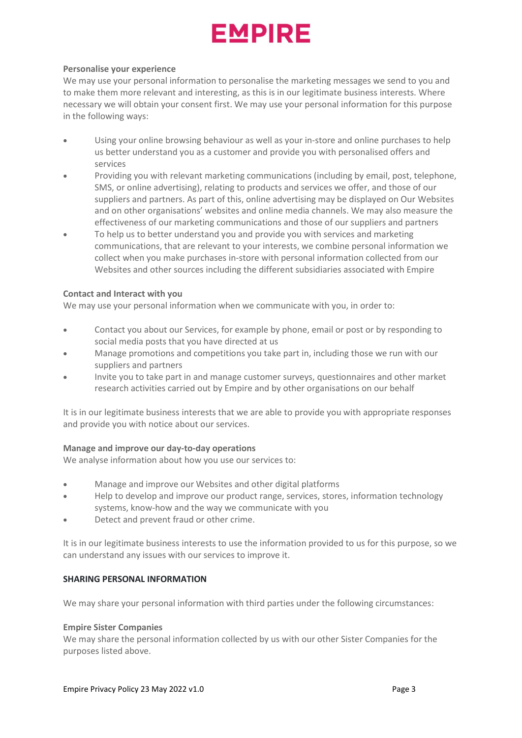# **EMPIRE**

# Personalise your experience

We may use your personal information to personalise the marketing messages we send to you and to make them more relevant and interesting, as this is in our legitimate business interests. Where necessary we will obtain your consent first. We may use your personal information for this purpose in the following ways:

- Using your online browsing behaviour as well as your in-store and online purchases to help us better understand you as a customer and provide you with personalised offers and services
- Providing you with relevant marketing communications (including by email, post, telephone, SMS, or online advertising), relating to products and services we offer, and those of our suppliers and partners. As part of this, online advertising may be displayed on Our Websites and on other organisations' websites and online media channels. We may also measure the effectiveness of our marketing communications and those of our suppliers and partners
- To help us to better understand you and provide you with services and marketing communications, that are relevant to your interests, we combine personal information we collect when you make purchases in-store with personal information collected from our Websites and other sources including the different subsidiaries associated with Empire

# Contact and Interact with you

We may use your personal information when we communicate with you, in order to:

- Contact you about our Services, for example by phone, email or post or by responding to social media posts that you have directed at us
- Manage promotions and competitions you take part in, including those we run with our suppliers and partners
- Invite you to take part in and manage customer surveys, questionnaires and other market research activities carried out by Empire and by other organisations on our behalf

It is in our legitimate business interests that we are able to provide you with appropriate responses and provide you with notice about our services.

# Manage and improve our day-to-day operations

We analyse information about how you use our services to:

- Manage and improve our Websites and other digital platforms
- Help to develop and improve our product range, services, stores, information technology systems, know-how and the way we communicate with you
- Detect and prevent fraud or other crime.

It is in our legitimate business interests to use the information provided to us for this purpose, so we can understand any issues with our services to improve it.

# SHARING PERSONAL INFORMATION

We may share your personal information with third parties under the following circumstances:

# Empire Sister Companies

We may share the personal information collected by us with our other Sister Companies for the purposes listed above.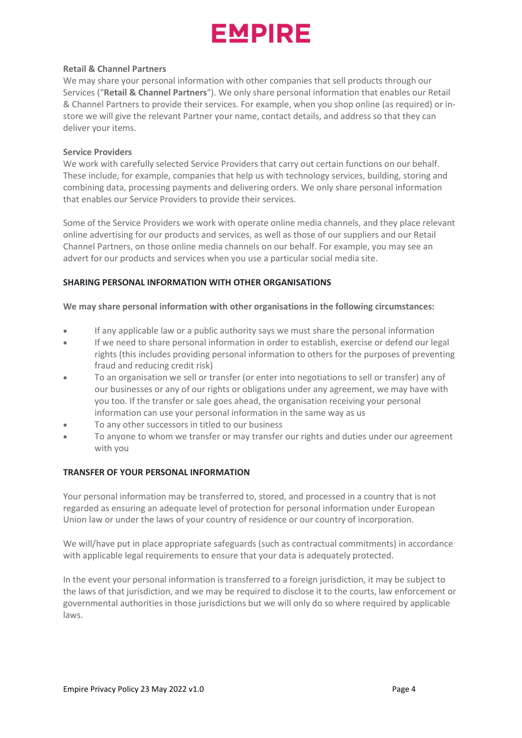

### Retail & Channel Partners

We may share your personal information with other companies that sell products through our Services ("Retail & Channel Partners"). We only share personal information that enables our Retail & Channel Partners to provide their services. For example, when you shop online (as required) or instore we will give the relevant Partner your name, contact details, and address so that they can deliver your items.

#### Service Providers

We work with carefully selected Service Providers that carry out certain functions on our behalf. These include, for example, companies that help us with technology services, building, storing and combining data, processing payments and delivering orders. We only share personal information that enables our Service Providers to provide their services.

Some of the Service Providers we work with operate online media channels, and they place relevant online advertising for our products and services, as well as those of our suppliers and our Retail Channel Partners, on those online media channels on our behalf. For example, you may see an advert for our products and services when you use a particular social media site.

# SHARING PERSONAL INFORMATION WITH OTHER ORGANISATIONS

#### We may share personal information with other organisations in the following circumstances:

- If any applicable law or a public authority says we must share the personal information
- If we need to share personal information in order to establish, exercise or defend our legal rights (this includes providing personal information to others for the purposes of preventing fraud and reducing credit risk)
- To an organisation we sell or transfer (or enter into negotiations to sell or transfer) any of our businesses or any of our rights or obligations under any agreement, we may have with you too. If the transfer or sale goes ahead, the organisation receiving your personal information can use your personal information in the same way as us
- To any other successors in titled to our business
- To anyone to whom we transfer or may transfer our rights and duties under our agreement with you

# TRANSFER OF YOUR PERSONAL INFORMATION

Your personal information may be transferred to, stored, and processed in a country that is not regarded as ensuring an adequate level of protection for personal information under European Union law or under the laws of your country of residence or our country of incorporation.

We will/have put in place appropriate safeguards (such as contractual commitments) in accordance with applicable legal requirements to ensure that your data is adequately protected.

In the event your personal information is transferred to a foreign jurisdiction, it may be subject to the laws of that jurisdiction, and we may be required to disclose it to the courts, law enforcement or governmental authorities in those jurisdictions but we will only do so where required by applicable laws.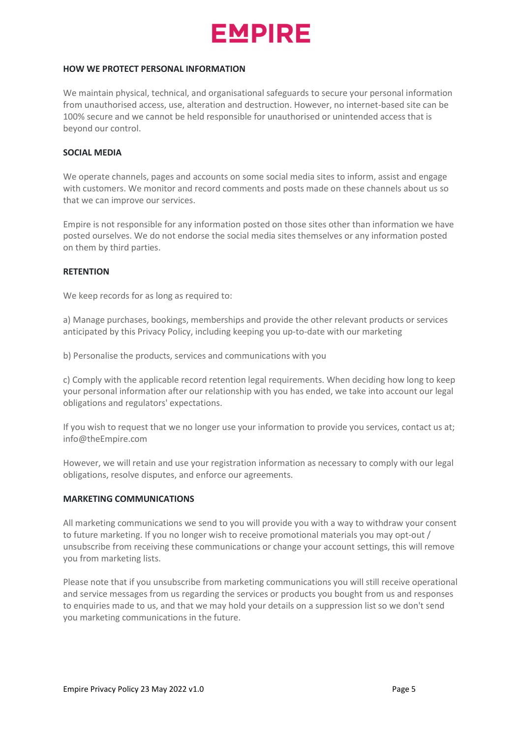

#### HOW WE PROTECT PERSONAL INFORMATION

We maintain physical, technical, and organisational safeguards to secure your personal information from unauthorised access, use, alteration and destruction. However, no internet-based site can be 100% secure and we cannot be held responsible for unauthorised or unintended access that is beyond our control.

# SOCIAL MEDIA

We operate channels, pages and accounts on some social media sites to inform, assist and engage with customers. We monitor and record comments and posts made on these channels about us so that we can improve our services.

Empire is not responsible for any information posted on those sites other than information we have posted ourselves. We do not endorse the social media sites themselves or any information posted on them by third parties.

#### **RETENTION**

We keep records for as long as required to:

a) Manage purchases, bookings, memberships and provide the other relevant products or services anticipated by this Privacy Policy, including keeping you up-to-date with our marketing

b) Personalise the products, services and communications with you

c) Comply with the applicable record retention legal requirements. When deciding how long to keep your personal information after our relationship with you has ended, we take into account our legal obligations and regulators' expectations.

If you wish to request that we no longer use your information to provide you services, contact us at; info@theEmpire.com

However, we will retain and use your registration information as necessary to comply with our legal obligations, resolve disputes, and enforce our agreements.

#### MARKETING COMMUNICATIONS

All marketing communications we send to you will provide you with a way to withdraw your consent to future marketing. If you no longer wish to receive promotional materials you may opt-out / unsubscribe from receiving these communications or change your account settings, this will remove you from marketing lists.

Please note that if you unsubscribe from marketing communications you will still receive operational and service messages from us regarding the services or products you bought from us and responses to enquiries made to us, and that we may hold your details on a suppression list so we don't send you marketing communications in the future.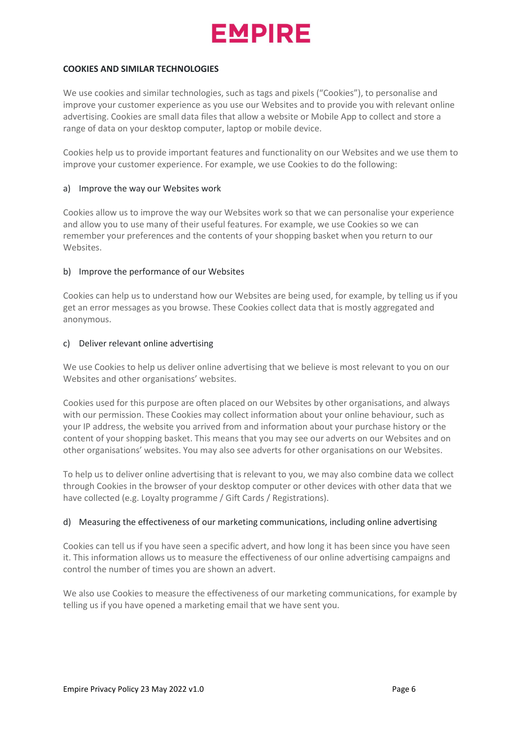

### COOKIES AND SIMILAR TECHNOLOGIES

We use cookies and similar technologies, such as tags and pixels ("Cookies"), to personalise and improve your customer experience as you use our Websites and to provide you with relevant online advertising. Cookies are small data files that allow a website or Mobile App to collect and store a range of data on your desktop computer, laptop or mobile device.

Cookies help us to provide important features and functionality on our Websites and we use them to improve your customer experience. For example, we use Cookies to do the following:

### a) Improve the way our Websites work

Cookies allow us to improve the way our Websites work so that we can personalise your experience and allow you to use many of their useful features. For example, we use Cookies so we can remember your preferences and the contents of your shopping basket when you return to our Websites.

#### b) Improve the performance of our Websites

Cookies can help us to understand how our Websites are being used, for example, by telling us if you get an error messages as you browse. These Cookies collect data that is mostly aggregated and anonymous.

#### c) Deliver relevant online advertising

We use Cookies to help us deliver online advertising that we believe is most relevant to you on our Websites and other organisations' websites.

Cookies used for this purpose are often placed on our Websites by other organisations, and always with our permission. These Cookies may collect information about your online behaviour, such as your IP address, the website you arrived from and information about your purchase history or the content of your shopping basket. This means that you may see our adverts on our Websites and on other organisations' websites. You may also see adverts for other organisations on our Websites.

To help us to deliver online advertising that is relevant to you, we may also combine data we collect through Cookies in the browser of your desktop computer or other devices with other data that we have collected (e.g. Loyalty programme / Gift Cards / Registrations).

# d) Measuring the effectiveness of our marketing communications, including online advertising

Cookies can tell us if you have seen a specific advert, and how long it has been since you have seen it. This information allows us to measure the effectiveness of our online advertising campaigns and control the number of times you are shown an advert.

We also use Cookies to measure the effectiveness of our marketing communications, for example by telling us if you have opened a marketing email that we have sent you.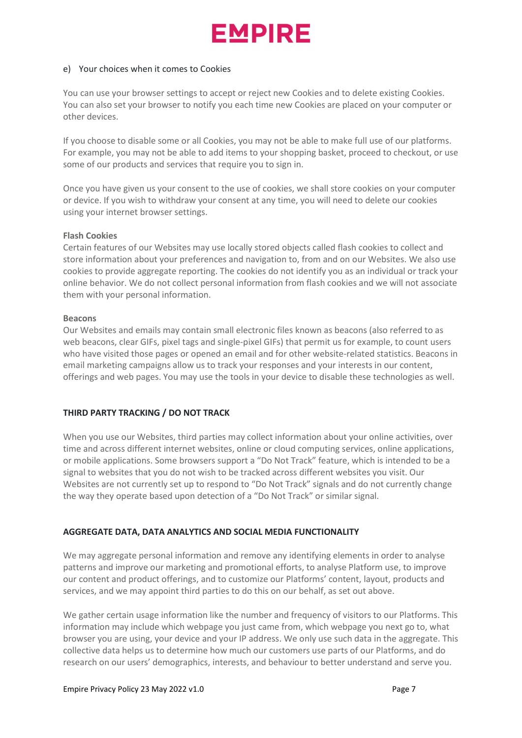# FMPIRF

### e) Your choices when it comes to Cookies

You can use your browser settings to accept or reject new Cookies and to delete existing Cookies. You can also set your browser to notify you each time new Cookies are placed on your computer or other devices.

If you choose to disable some or all Cookies, you may not be able to make full use of our platforms. For example, you may not be able to add items to your shopping basket, proceed to checkout, or use some of our products and services that require you to sign in.

Once you have given us your consent to the use of cookies, we shall store cookies on your computer or device. If you wish to withdraw your consent at any time, you will need to delete our cookies using your internet browser settings.

#### Flash Cookies

Certain features of our Websites may use locally stored objects called flash cookies to collect and store information about your preferences and navigation to, from and on our Websites. We also use cookies to provide aggregate reporting. The cookies do not identify you as an individual or track your online behavior. We do not collect personal information from flash cookies and we will not associate them with your personal information.

#### Beacons

Our Websites and emails may contain small electronic files known as beacons (also referred to as web beacons, clear GIFs, pixel tags and single-pixel GIFs) that permit us for example, to count users who have visited those pages or opened an email and for other website-related statistics. Beacons in email marketing campaigns allow us to track your responses and your interests in our content, offerings and web pages. You may use the tools in your device to disable these technologies as well.

# THIRD PARTY TRACKING / DO NOT TRACK

When you use our Websites, third parties may collect information about your online activities, over time and across different internet websites, online or cloud computing services, online applications, or mobile applications. Some browsers support a "Do Not Track" feature, which is intended to be a signal to websites that you do not wish to be tracked across different websites you visit. Our Websites are not currently set up to respond to "Do Not Track" signals and do not currently change the way they operate based upon detection of a "Do Not Track" or similar signal.

# AGGREGATE DATA, DATA ANALYTICS AND SOCIAL MEDIA FUNCTIONALITY

We may aggregate personal information and remove any identifying elements in order to analyse patterns and improve our marketing and promotional efforts, to analyse Platform use, to improve our content and product offerings, and to customize our Platforms' content, layout, products and services, and we may appoint third parties to do this on our behalf, as set out above.

We gather certain usage information like the number and frequency of visitors to our Platforms. This information may include which webpage you just came from, which webpage you next go to, what browser you are using, your device and your IP address. We only use such data in the aggregate. This collective data helps us to determine how much our customers use parts of our Platforms, and do research on our users' demographics, interests, and behaviour to better understand and serve you.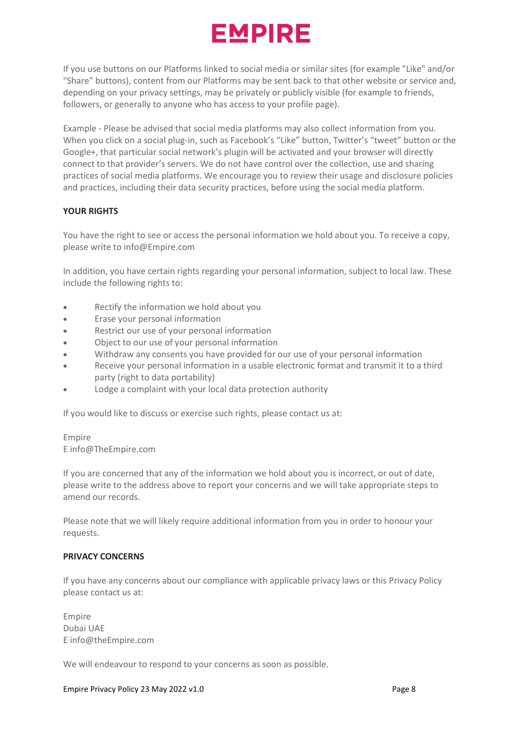# **EMPIRE**

If you use buttons on our Platforms linked to social media or similar sites (for example "Like" and/or "Share" buttons), content from our Platforms may be sent back to that other website or service and, depending on your privacy settings, may be privately or publicly visible (for example to friends, followers, or generally to anyone who has access to your profile page).

Example - Please be advised that social media platforms may also collect information from you. When you click on a social plug-in, such as Facebook's "Like" button, Twitter's "tweet" button or the Google+, that particular social network's plugin will be activated and your browser will directly connect to that provider's servers. We do not have control over the collection, use and sharing practices of social media platforms. We encourage you to review their usage and disclosure policies and practices, including their data security practices, before using the social media platform.

# YOUR RIGHTS

You have the right to see or access the personal information we hold about you. To receive a copy, please write to info@Empire.com

In addition, you have certain rights regarding your personal information, subject to local law. These include the following rights to:

- Rectify the information we hold about you
- Erase your personal information
- Restrict our use of your personal information
- Object to our use of your personal information
- Withdraw any consents you have provided for our use of your personal information
- Receive your personal information in a usable electronic format and transmit it to a third party (right to data portability)
- Lodge a complaint with your local data protection authority

If you would like to discuss or exercise such rights, please contact us at:

# Empire E info@TheEmpire.com

If you are concerned that any of the information we hold about you is incorrect, or out of date, please write to the address above to report your concerns and we will take appropriate steps to amend our records.

Please note that we will likely require additional information from you in order to honour your requests.

# PRIVACY CONCERNS

If you have any concerns about our compliance with applicable privacy laws or this Privacy Policy please contact us at:

Empire Dubai UAE E info@theEmpire.com

We will endeavour to respond to your concerns as soon as possible.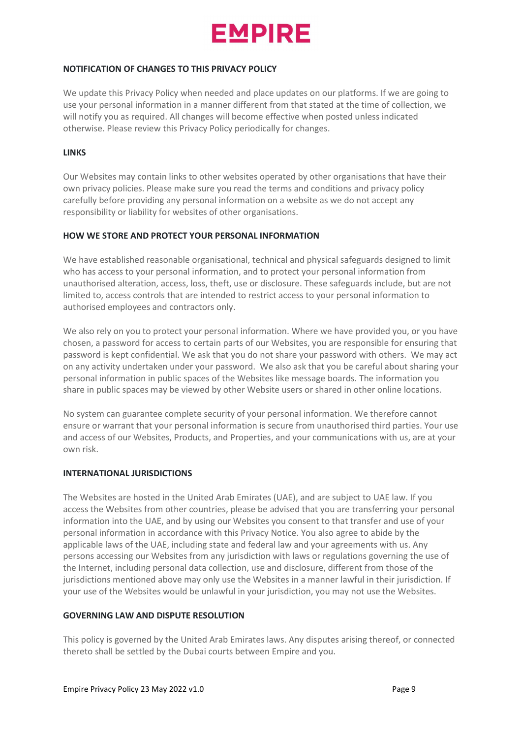

# NOTIFICATION OF CHANGES TO THIS PRIVACY POLICY

We update this Privacy Policy when needed and place updates on our platforms. If we are going to use your personal information in a manner different from that stated at the time of collection, we will notify you as required. All changes will become effective when posted unless indicated otherwise. Please review this Privacy Policy periodically for changes.

### LINKS

Our Websites may contain links to other websites operated by other organisations that have their own privacy policies. Please make sure you read the terms and conditions and privacy policy carefully before providing any personal information on a website as we do not accept any responsibility or liability for websites of other organisations.

#### HOW WE STORE AND PROTECT YOUR PERSONAL INFORMATION

We have established reasonable organisational, technical and physical safeguards designed to limit who has access to your personal information, and to protect your personal information from unauthorised alteration, access, loss, theft, use or disclosure. These safeguards include, but are not limited to, access controls that are intended to restrict access to your personal information to authorised employees and contractors only.

We also rely on you to protect your personal information. Where we have provided you, or you have chosen, a password for access to certain parts of our Websites, you are responsible for ensuring that password is kept confidential. We ask that you do not share your password with others. We may act on any activity undertaken under your password. We also ask that you be careful about sharing your personal information in public spaces of the Websites like message boards. The information you share in public spaces may be viewed by other Website users or shared in other online locations.

No system can guarantee complete security of your personal information. We therefore cannot ensure or warrant that your personal information is secure from unauthorised third parties. Your use and access of our Websites, Products, and Properties, and your communications with us, are at your own risk.

# INTERNATIONAL JURISDICTIONS

The Websites are hosted in the United Arab Emirates (UAE), and are subject to UAE law. If you access the Websites from other countries, please be advised that you are transferring your personal information into the UAE, and by using our Websites you consent to that transfer and use of your personal information in accordance with this Privacy Notice. You also agree to abide by the applicable laws of the UAE, including state and federal law and your agreements with us. Any persons accessing our Websites from any jurisdiction with laws or regulations governing the use of the Internet, including personal data collection, use and disclosure, different from those of the jurisdictions mentioned above may only use the Websites in a manner lawful in their jurisdiction. If your use of the Websites would be unlawful in your jurisdiction, you may not use the Websites.

# GOVERNING LAW AND DISPUTE RESOLUTION

This policy is governed by the United Arab Emirates laws. Any disputes arising thereof, or connected thereto shall be settled by the Dubai courts between Empire and you.